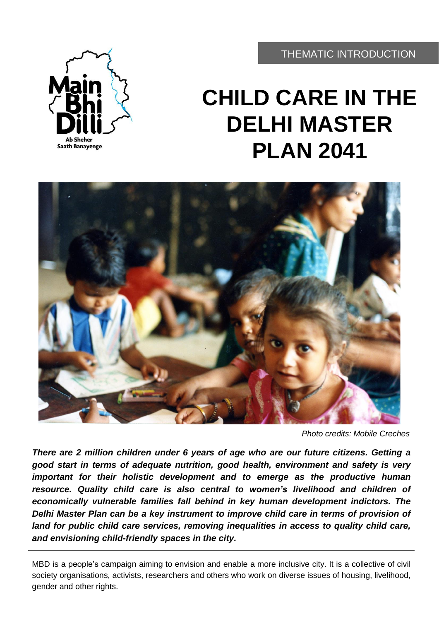THEMATIC INTRODUCTION



# **CHILD CARE IN THE DELHI MASTER PLAN 2041**



*Photo credits: Mobile Creches*

*There are 2 million children under 6 years of age who are our future citizens. Getting a good start in terms of adequate nutrition, good health, environment and safety is very important for their holistic development and to emerge as the productive human resource. Quality child care is also central to women's livelihood and children of economically vulnerable families fall behind in key human development indictors. The Delhi Master Plan can be a key instrument to improve child care in terms of provision of land for public child care services, removing inequalities in access to quality child care, and envisioning child-friendly spaces in the city.*

MBD is a people's campaign aiming to envision and enable a more inclusive city. It is a collective of civil society organisations, activists, researchers and others who work on diverse issues of housing, livelihood, gender and other rights.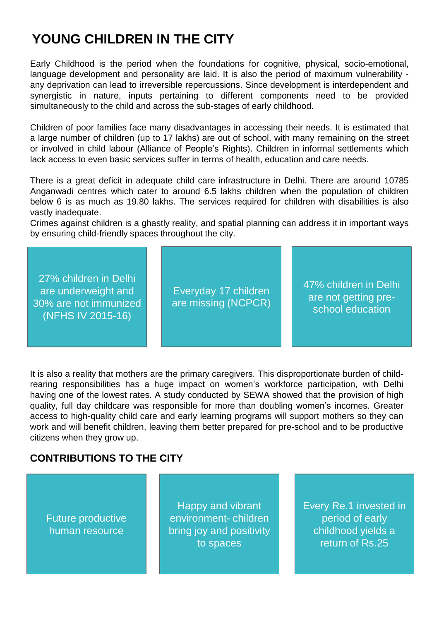# **YOUNG CHILDREN IN THE CITY**

Early Childhood is the period when the foundations for cognitive, physical, socio-emotional, language development and personality are laid. It is also the period of maximum vulnerability any deprivation can lead to irreversible repercussions. Since development is interdependent and synergistic in nature, inputs pertaining to different components need to be provided simultaneously to the child and across the sub-stages of early childhood.

Children of poor families face many disadvantages in accessing their needs. It is estimated that a large number of children (up to 17 lakhs) are out of school, with many remaining on the street or involved in child labour (Alliance of People's Rights). Children in informal settlements which lack access to even basic services suffer in terms of health, education and care needs.

There is a great deficit in adequate child care infrastructure in Delhi. There are around 10785 Anganwadi centres which cater to around 6.5 lakhs children when the population of children below 6 is as much as 19.80 lakhs. The services required for children with disabilities is also vastly inadequate.

Crimes against children is a ghastly reality, and spatial planning can address it in important ways by ensuring child-friendly spaces throughout the city.

27% children in Delhi are underweight and 30% are not immunized (NFHS IV 2015-16)

Everyday 17 children are missing (NCPCR) 47% children in Delhi are not getting preschool education

It is also a reality that mothers are the primary caregivers. This disproportionate burden of childrearing responsibilities has a huge impact on women's workforce participation, with Delhi having one of the lowest rates. A study conducted by SEWA showed that the provision of high quality, full day childcare was responsible for more than doubling women's incomes. Greater access to high-quality child care and early learning programs will support mothers so they can work and will benefit children, leaving them better prepared for pre-school and to be productive citizens when they grow up.

#### **CONTRIBUTIONS TO THE CITY**

Future productive human resource

Happy and vibrant environment- children bring joy and positivity to spaces

Every Re.1 invested in period of early childhood yields a return of Rs.25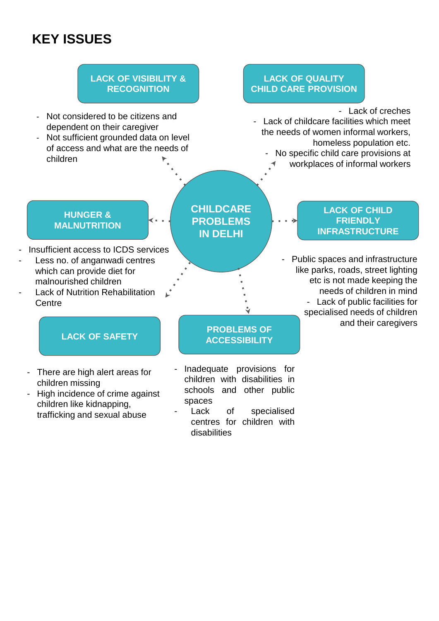# **KEY ISSUES**

### **LACK OF VISIBILITY & RECOGNITION**

- Not considered to be citizens and dependent on their caregiver
- Not sufficient grounded data on level of access and what are the needs of children

#### **LACK OF QUALITY CHILD CARE PROVISION**

 $\rightarrow$ 

- Lack of creches

- Lack of childcare facilities which meet the needs of women informal workers, homeless population etc. No specific child care provisions at
	- workplaces of informal workers

#### **HUNGER & MALNUTRITION**

- Insufficient access to ICDS services
- Less no. of anganwadi centres which can provide diet for malnourished children
- Lack of Nutrition Rehabilitation **Centre**

### **LACK OF SAFETY**

- There are high alert areas for children missing
- High incidence of crime against children like kidnapping, trafficking and sexual abuse

### **CHILDCARE PROBLEMS IN DELHI**

### **PROBLEMS OF ACCESSIBILITY**

Inadequate provisions for children with disabilities in schools and other public spaces

Lack of specialised centres for children with disabilities

#### **LACK OF CHILD FRIENDLY INFRASTRUCTURE**

- Public spaces and infrastructure like parks, roads, street lighting etc is not made keeping the needs of children in mind - Lack of public facilities for specialised needs of children and their caregivers